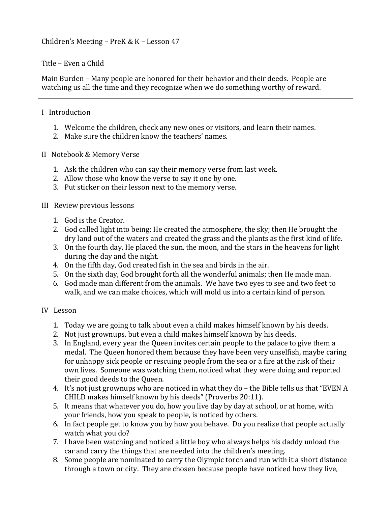## Title – Even a Child

Main Burden – Many people are honored for their behavior and their deeds. People are watching us all the time and they recognize when we do something worthy of reward.

#### I Introduction

- 1. Welcome the children, check any new ones or visitors, and learn their names.
- 2. Make sure the children know the teachers' names.
- II Notebook & Memory Verse
	- 1. Ask the children who can say their memory verse from last week.
	- 2. Allow those who know the verse to say it one by one.
	- 3. Put sticker on their lesson next to the memory verse.

#### III Review previous lessons

- 1. God is the Creator.
- 2. God called light into being; He created the atmosphere, the sky; then He brought the dry land out of the waters and created the grass and the plants as the first kind of life.
- 3. On the fourth day, He placed the sun, the moon, and the stars in the heavens for light during the day and the night.
- 4. On the fifth day, God created fish in the sea and birds in the air.
- 5. On the sixth day, God brought forth all the wonderful animals; then He made man.
- 6. God made man different from the animals. We have two eyes to see and two feet to walk, and we can make choices, which will mold us into a certain kind of person.

## IV Lesson

- 1. Today we are going to talk about even a child makes himself known by his deeds.
- 2. Not just grownups, but even a child makes himself known by his deeds.
- 3. In England, every year the Queen invites certain people to the palace to give them a medal. The Queen honored them because they have been very unselfish, maybe caring for unhappy sick people or rescuing people from the sea or a fire at the risk of their own lives. Someone was watching them, noticed what they were doing and reported their good deeds to the Queen.
- 4. It's not just grownups who are noticed in what they do the Bible tells us that "EVEN A CHILD makes himself known by his deeds" (Proverbs 20:11).
- 5. It means that whatever you do, how you live day by day at school, or at home, with your friends, how you speak to people, is noticed by others.
- 6. In fact people get to know you by how you behave. Do you realize that people actually watch what you do?
- 7. I have been watching and noticed a little boy who always helps his daddy unload the car and carry the things that are needed into the children's meeting.
- 8. Some people are nominated to carry the Olympic torch and run with it a short distance through a town or city. They are chosen because people have noticed how they live,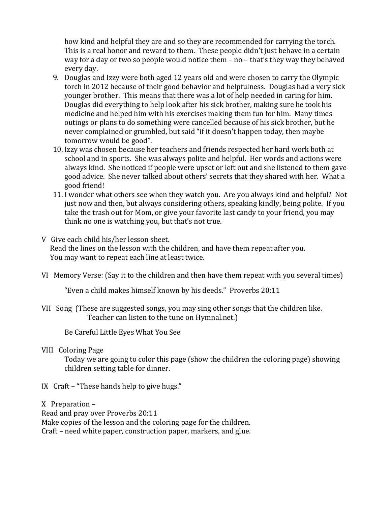how kind and helpful they are and so they are recommended for carrying the torch. This is a real honor and reward to them. These people didn't just behave in a certain way for a day or two so people would notice them  $-$  no  $-$  that's they way they behaved every day.

- 9. Douglas and Izzy were both aged 12 years old and were chosen to carry the Olympic torch in 2012 because of their good behavior and helpfulness. Douglas had a very sick younger brother. This means that there was a lot of help needed in caring for him. Douglas did everything to help look after his sick brother, making sure he took his medicine and helped him with his exercises making them fun for him. Many times outings or plans to do something were cancelled because of his sick brother, but he never complained or grumbled, but said "if it doesn't happen today, then maybe tomorrow would be good".
- 10. Izzy was chosen because her teachers and friends respected her hard work both at school and in sports. She was always polite and helpful. Her words and actions were always kind. She noticed if people were upset or left out and she listened to them gave good advice. She never talked about others' secrets that they shared with her. What a good friend!
- 11. I wonder what others see when they watch you. Are you always kind and helpful? Not just now and then, but always considering others, speaking kindly, being polite. If you take the trash out for Mom, or give your favorite last candy to your friend, you may think no one is watching you, but that's not true.
- V Give each child his/her lesson sheet. Read the lines on the lesson with the children, and have them repeat after you. You may want to repeat each line at least twice.
- VI Memory Verse: (Say it to the children and then have them repeat with you several times)

"Even a child makes himself known by his deeds." Proverbs 20:11

VII Song (These are suggested songs, you may sing other songs that the children like. Teacher can listen to the tune on Hymnal.net.)

Be Careful Little Eyes What You See

VIII Coloring Page

Today we are going to color this page (show the children the coloring page) showing children setting table for dinner.

IX  $Cr$ aft – "These hands help to give hugs."

 $X$  Preparation –

Read and pray over Proverbs 20:11

Make copies of the lesson and the coloring page for the children.

Craft – need white paper, construction paper, markers, and glue.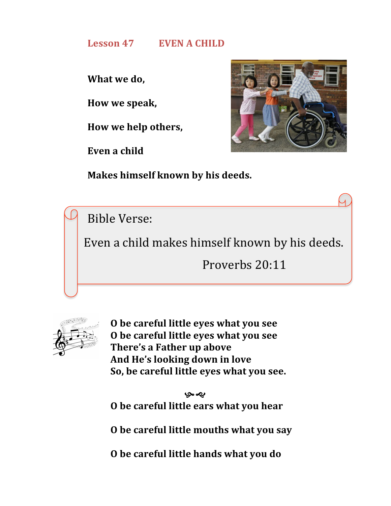# **Lesson 47 EVEN A CHILD**

**What** we do,

**How we speak,**

**How we help others,**

Even a child



**Makes himself known by his deeds.** 

Bible Verse:

Even a child makes himself known by his deeds.

Proverbs 20:11



**O be careful little eyes what you see O** be careful little eyes what you see **There's a Father up above** And He's looking down in love So, be careful little eyes what you see.

بهمو **O** be careful little ears what you hear

**O** be careful little mouths what you say

**O** be careful little hands what you do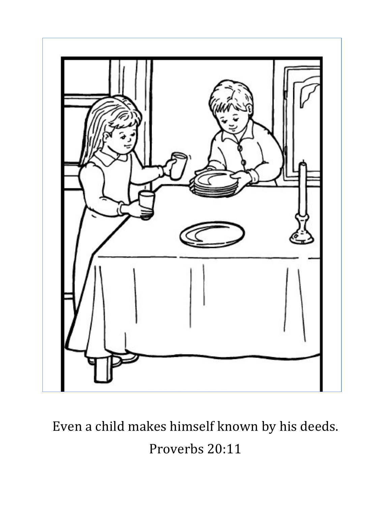

Even a child makes himself known by his deeds. Proverbs 20:11